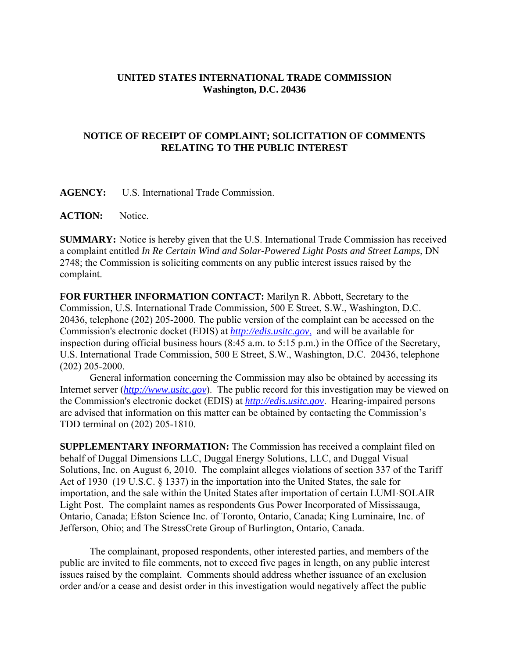## **UNITED STATES INTERNATIONAL TRADE COMMISSION Washington, D.C. 20436**

## **NOTICE OF RECEIPT OF COMPLAINT; SOLICITATION OF COMMENTS RELATING TO THE PUBLIC INTEREST**

**AGENCY:** U.S. International Trade Commission.

**ACTION:** Notice.

**SUMMARY:** Notice is hereby given that the U.S. International Trade Commission has received a complaint entitled *In Re Certain Wind and Solar-Powered Light Posts and Street Lamps*, DN 2748; the Commission is soliciting comments on any public interest issues raised by the complaint.

**FOR FURTHER INFORMATION CONTACT:** Marilyn R. Abbott, Secretary to the Commission, U.S. International Trade Commission, 500 E Street, S.W., Washington, D.C. 20436, telephone (202) 205-2000. The public version of the complaint can be accessed on the Commission's electronic docket (EDIS) at *http://edis.usitc.gov*, and will be available for inspection during official business hours (8:45 a.m. to 5:15 p.m.) in the Office of the Secretary, U.S. International Trade Commission, 500 E Street, S.W., Washington, D.C. 20436, telephone (202) 205-2000.

General information concerning the Commission may also be obtained by accessing its Internet server (*http://www.usitc.gov*). The public record for this investigation may be viewed on the Commission's electronic docket (EDIS) at *http://edis.usitc.gov*. Hearing-impaired persons are advised that information on this matter can be obtained by contacting the Commission's TDD terminal on (202) 205-1810.

**SUPPLEMENTARY INFORMATION:** The Commission has received a complaint filed on behalf of Duggal Dimensions LLC, Duggal Energy Solutions, LLC, and Duggal Visual Solutions, Inc. on August 6, 2010. The complaint alleges violations of section 337 of the Tariff Act of 1930 (19 U.S.C. § 1337) in the importation into the United States, the sale for importation, and the sale within the United States after importation of certain LUMI·SOLAIR Light Post. The complaint names as respondents Gus Power Incorporated of Mississauga, Ontario, Canada; Efston Science Inc. of Toronto, Ontario, Canada; King Luminaire, Inc. of Jefferson, Ohio; and The StressCrete Group of Burlington, Ontario, Canada.

The complainant, proposed respondents, other interested parties, and members of the public are invited to file comments, not to exceed five pages in length, on any public interest issues raised by the complaint. Comments should address whether issuance of an exclusion order and/or a cease and desist order in this investigation would negatively affect the public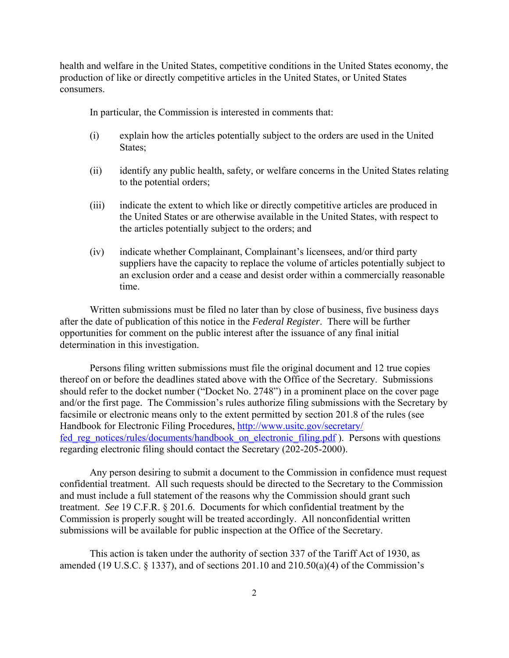health and welfare in the United States, competitive conditions in the United States economy, the production of like or directly competitive articles in the United States, or United States consumers.

In particular, the Commission is interested in comments that:

- (i) explain how the articles potentially subject to the orders are used in the United States;
- (ii) identify any public health, safety, or welfare concerns in the United States relating to the potential orders;
- (iii) indicate the extent to which like or directly competitive articles are produced in the United States or are otherwise available in the United States, with respect to the articles potentially subject to the orders; and
- (iv) indicate whether Complainant, Complainant's licensees, and/or third party suppliers have the capacity to replace the volume of articles potentially subject to an exclusion order and a cease and desist order within a commercially reasonable time.

Written submissions must be filed no later than by close of business, five business days after the date of publication of this notice in the *Federal Register*. There will be further opportunities for comment on the public interest after the issuance of any final initial determination in this investigation.

Persons filing written submissions must file the original document and 12 true copies thereof on or before the deadlines stated above with the Office of the Secretary. Submissions should refer to the docket number ("Docket No. 2748") in a prominent place on the cover page and/or the first page. The Commission's rules authorize filing submissions with the Secretary by facsimile or electronic means only to the extent permitted by section 201.8 of the rules (see Handbook for Electronic Filing Procedures, http://www.usitc.gov/secretary/ fed reg\_notices/rules/documents/handbook\_on\_electronic\_filing.pdf ). Persons with questions regarding electronic filing should contact the Secretary (202-205-2000).

Any person desiring to submit a document to the Commission in confidence must request confidential treatment. All such requests should be directed to the Secretary to the Commission and must include a full statement of the reasons why the Commission should grant such treatment. *See* 19 C.F.R. § 201.6. Documents for which confidential treatment by the Commission is properly sought will be treated accordingly. All nonconfidential written submissions will be available for public inspection at the Office of the Secretary.

This action is taken under the authority of section 337 of the Tariff Act of 1930, as amended (19 U.S.C.  $\S$  1337), and of sections 201.10 and 210.50(a)(4) of the Commission's